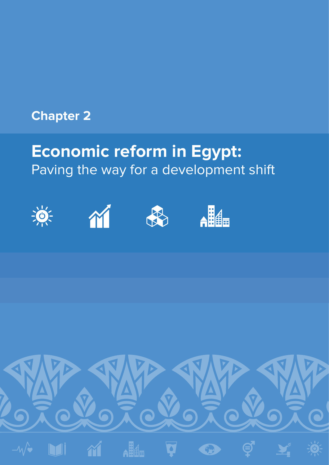# **Chapter 2**

# **Economic reform in Egypt:** Paving the way for a development shift









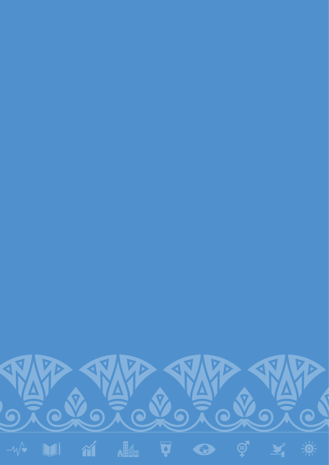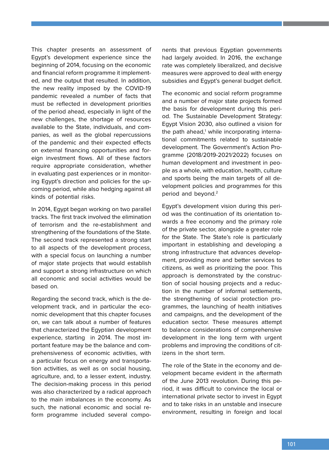This chapter presents an assessment of Egypt's development experience since the beginning of 2014, focusing on the economic and financial reform programme it implemented, and the output that resulted. In addition, the new reality imposed by the COVID-19 pandemic revealed a number of facts that must be reflected in development priorities of the period ahead, especially in light of the new challenges, the shortage of resources available to the State, individuals, and companies, as well as the global repercussions of the pandemic and their expected effects on external financing opportunities and foreign investment flows. All of these factors require appropriate consideration, whether in evaluating past experiences or in monitoring Egypt's direction and policies for the upcoming period, while also hedging against all kinds of potential risks.

In 2014, Egypt began working on two parallel tracks. The first track involved the elimination of terrorism and the re-establishment and strengthening of the foundations of the State. The second track represented a strong start to all aspects of the development process, with a special focus on launching a number of major state projects that would establish and support a strong infrastructure on which all economic and social activities would be based on.

Regarding the second track, which is the development track, and in particular the economic development that this chapter focuses on, we can talk about a number of features that characterized the Egyptian development experience, starting in 2014. The most important feature may be the balance and comprehensiveness of economic activities, with a particular focus on energy and transportation activities, as well as on social housing, agriculture, and, to a lesser extent, industry. The decision-making process in this period was also characterized by a radical approach to the main imbalances in the economy. As such, the national economic and social reform programme included several compo-

nents that previous Egyptian governments had largely avoided. In 2016, the exchange rate was completely liberalized, and decisive measures were approved to deal with energy subsidies and Egypt's general budget deficit.

The economic and social reform programme and a number of major state projects formed the basis for development during this period. The Sustainable Development Strategy: Egypt Vision 2030, also outlined a vision for the path ahead,<sup>1</sup> while incorporating international commitments related to sustainable development. The Government's Action Programme (2018/2019-2021/2022) focuses on human development and investment in people as a whole, with education, health, culture and sports being the main targets of all development policies and programmes for this period and beyond.2

Egypt's development vision during this period was the continuation of its orientation towards a free economy and the primary role of the private sector, alongside a greater role for the State. The State's role is particularly important in establishing and developing a strong infrastructure that advances development, providing more and better services to citizens, as well as prioritizing the poor. This approach is demonstrated by the construction of social housing projects and a reduction in the number of informal settlements, the strengthening of social protection programmes, the launching of health initiatives and campaigns, and the development of the education sector. These measures attempt to balance considerations of comprehensive development in the long term with urgent problems and improving the conditions of citizens in the short term.

The role of the State in the economy and development became evident in the aftermath of the June 2013 revolution. During this period, it was difficult to convince the local or international private sector to invest in Egypt and to take risks in an unstable and insecure environment, resulting in foreign and local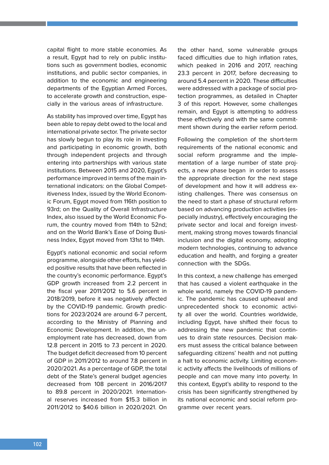capital flight to more stable economies. As a result, Egypt had to rely on public institutions such as government bodies, economic institutions, and public sector companies, in addition to the economic and engineering departments of the Egyptian Armed Forces, to accelerate growth and construction, especially in the various areas of infrastructure.

As stability has improved over time, Egypt has been able to repay debt owed to the local and international private sector. The private sector has slowly begun to play its role in investing and participating in economic growth, both through independent projects and through entering into partnerships with various state institutions. Between 2015 and 2020, Egypt's performance improved in terms of the main international indicators: on the Global Competitiveness Index, issued by the World Economic Forum, Egypt moved from 116th position to 93rd; on the Quality of Overall Infrastructure Index, also issued by the World Economic Forum, the country moved from 114th to 52nd; and on the World Bank's Ease of Doing Business Index, Egypt moved from 131st to 114th.

Egypt's national economic and social reform programme, alongside other efforts, has yielded positive results that have been reflected in the country's economic performance. Egypt's GDP growth increased from 2.2 percent in the fiscal year 2011/2012 to 5.6 percent in 2018/2019, before it was negatively affected by the COVID-19 pandemic. Growth predictions for 2023/2024 are around 6-7 percent, according to the Ministry of Planning and Economic Development. In addition, the unemployment rate has decreased, down from 12.8 percent in 2015 to 7.3 percent in 2020. The budget deficit decreased from 10 percent of GDP in 2011/2012 to around 7.8 percent in 2020/2021. As a percentage of GDP, the total debt of the State's general budget agencies decreased from 108 percent in 2016/2017 to 89.8 percent in 2020/2021. International reserves increased from \$15.3 billion in 2011/2012 to \$40.6 billion in 2020/2021. On the other hand, some vulnerable groups faced difficulties due to high inflation rates, which peaked in 2016 and 2017, reaching 23.3 percent in 2017, before decreasing to around 5.4 percent in 2020. These difficulties were addressed with a package of social protection programmes, as detailed in Chapter 3 of this report. However, some challenges remain, and Egypt is attempting to address these effectively and with the same commitment shown during the earlier reform period.

Following the completion of the short-term requirements of the national economic and social reform programme and the implementation of a large number of state projects, a new phase began in order to assess the appropriate direction for the next stage of development and how it will address existing challenges. There was consensus on the need to start a phase of structural reform based on advancing production activities (especially industry), effectively encouraging the private sector and local and foreign investment, making strong moves towards financial inclusion and the digital economy, adopting modern technologies, continuing to advance education and health, and forging a greater connection with the SDGs.

In this context, a new challenge has emerged that has caused a violent earthquake in the whole world, namely the COVID-19 pandemic. The pandemic has caused upheaval and unprecedented shock to economic activity all over the world. Countries worldwide, including Egypt, have shifted their focus to addressing the new pandemic that continues to drain state resources. Decision makers must assess the critical balance between safeguarding citizens' health and not putting a halt to economic activity. Limiting economic activity affects the livelihoods of millions of people and can move many into poverty. In this context, Egypt's ability to respond to the crisis has been significantly strengthened by its national economic and social reform programme over recent years.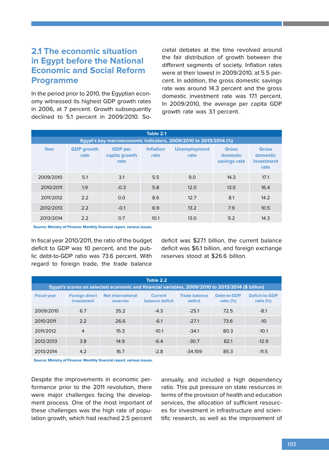## **2.1 The economic situation in Egypt before the National Economic and Social Reform Programme**

In the period prior to 2010, the Egyptian economy witnessed its highest GDP growth rates in 2006, at 7 percent. Growth subsequently declined to 5.1 percent in 2009/2010. So-

cietal debates at the time revolved around the fair distribution of growth between the different segments of society. Inflation rates were at their lowest in 2009/2010, at 5.5 percent. In addition, the gross domestic savings rate was around 14.3 percent and the gross domestic investment rate was 17.1 percent. In 2009/2010, the average per capita GDP growth rate was 3.1 percent.

| Table 2.1 |                                                                  |                                         |                          |                             |                                                 |                                                |  |  |
|-----------|------------------------------------------------------------------|-----------------------------------------|--------------------------|-----------------------------|-------------------------------------------------|------------------------------------------------|--|--|
|           | Egypt's key macroeconomic indicators, 2009/2010 to 2013/2014 (%) |                                         |                          |                             |                                                 |                                                |  |  |
| Year      | <b>GDP</b> growth<br>rate                                        | <b>GDP</b> per<br>capita growth<br>rate | <b>Inflation</b><br>rate | <b>Unemployment</b><br>rate | <b>Gross</b><br><b>domestic</b><br>savings rate | <b>Gross</b><br>domestic<br>investment<br>rate |  |  |
| 2009/2010 | 5.1                                                              | 3.1                                     | 5.5                      | 9.0                         | 14.3                                            | 17.1                                           |  |  |
| 2010/2011 | 1.9                                                              | $-0.3$                                  | 5.8                      | 12.0                        | 13.0                                            | 16.4                                           |  |  |
| 2011/2012 | 2.2                                                              | 0.0                                     | 8.6                      | 12.7                        | 8.1                                             | 14.2                                           |  |  |
| 2012/2013 | 2.2                                                              | $-0.1$                                  | 6.9                      | 13.2                        | 7.9                                             | 10.5                                           |  |  |
| 2013/2014 | 2.2                                                              | 0.7                                     | 10.1                     | 13.0                        | 5.2                                             | 14.3                                           |  |  |

**Source: Ministry of Finance: Monthly financial report, various issues.**

In fiscal year 2010/2011, the ratio of the budget deficit to GDP was 10 percent, and the public debt-to-GDP ratio was 73.6 percent. With regard to foreign trade, the trade balance deficit was \$27.1 billion, the current balance deficit was \$6.1 billion, and foreign exchange reserves stood at \$26.6 billion.

| Table 2.2          |                                                                                                  |                                             |                                   |                                 |                             |                                       |  |  |
|--------------------|--------------------------------------------------------------------------------------------------|---------------------------------------------|-----------------------------------|---------------------------------|-----------------------------|---------------------------------------|--|--|
|                    | Egypt's scores on selected economic and financial variables, 2009/2010 to 2013/2014 (\$ billion) |                                             |                                   |                                 |                             |                                       |  |  |
| <b>Fiscal year</b> | <b>Foreign direct</b><br>investment                                                              | <b>Net international</b><br><b>reserves</b> | <b>Current</b><br>balance deficit | <b>Trade balance</b><br>deficit | Debt-to-GDP<br>ratio $(\%)$ | <b>Deficit-to-GDP</b><br>ratio $(\%)$ |  |  |
| 2009/2010          | 6.7                                                                                              | 35.2                                        | $-4.3$                            | $-25.1$                         | 72.5                        | $-8.1$                                |  |  |
| 2010/2011          | 2.2                                                                                              | 26.6                                        | $-6.1$                            | $-27.1$                         | 73.6                        | $-10$                                 |  |  |
| 2011/2012          | $\overline{4}$                                                                                   | 15.3                                        | $-10.1$                           | $-34.1$                         | 80.3                        | $-10.1$                               |  |  |
| 2012/2013          | 3.8                                                                                              | 14.9                                        | $-6.4$                            | $-30.7$                         | 82.1                        | $-12.9$                               |  |  |
| 2013/2014          | 4.2                                                                                              | 16.7                                        | $-2.8$                            | $-34.159$                       | 85.3                        | $-11.5$                               |  |  |

**Source: Ministry of Finance: Monthly financial report, various issues.**

Despite the improvements in economic performance prior to the 2011 revolution, there were major challenges facing the development process. One of the most important of these challenges was the high rate of population growth, which had reached 2.5 percent annually, and included a high dependency ratio. This put pressure on state resources in terms of the provision of health and education services, the allocation of sufficient resources for investment in infrastructure and scientific research, as well as the improvement of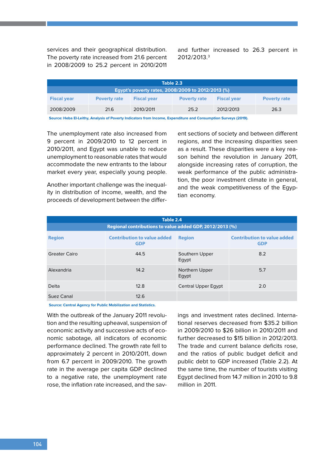services and their geographical distribution. The poverty rate increased from 21.6 percent in 2008/2009 to 25.2 percent in 2010/2011 and further increased to 26.3 percent in 2012/2013.3

| Table 2.3                                         |                     |                    |                     |                    |                     |  |
|---------------------------------------------------|---------------------|--------------------|---------------------|--------------------|---------------------|--|
| Egypt's poverty rates, 2008/2009 to 2012/2013 (%) |                     |                    |                     |                    |                     |  |
| <b>Fiscal year</b>                                | <b>Poverty rate</b> | <b>Fiscal year</b> | <b>Poverty rate</b> | <b>Fiscal year</b> | <b>Poverty rate</b> |  |
| 2008/2009                                         | 21.6                | 2010/2011          | 25.2                | 2012/2013          | 26.3                |  |

**Source: Heba El-Leithy, Analysis of Poverty Indicators from Income, Expenditure and Consumption Surveys (2019).**

The unemployment rate also increased from 9 percent in 2009/2010 to 12 percent in 2010/2011, and Egypt was unable to reduce unemployment to reasonable rates that would accommodate the new entrants to the labour market every year, especially young people.

Another important challenge was the inequality in distribution of income, wealth, and the proceeds of development between the different sections of society and between different regions, and the increasing disparities seen as a result. These disparities were a key reason behind the revolution in January 2011, alongside increasing rates of corruption, the weak performance of the public administration, the poor investment climate in general, and the weak competitiveness of the Egyptian economy.

| Table 2.4<br>Regional contributions to value added GDP, 2012/2013 (%) |                                                  |                         |                                                  |  |  |  |
|-----------------------------------------------------------------------|--------------------------------------------------|-------------------------|--------------------------------------------------|--|--|--|
| <b>Region</b>                                                         | <b>Contribution to value added</b><br><b>GDP</b> | <b>Region</b>           | <b>Contribution to value added</b><br><b>GDP</b> |  |  |  |
| <b>Greater Cairo</b>                                                  | 44.5                                             | Southern Upper<br>Eqypt | 8.2                                              |  |  |  |
| Alexandria                                                            | 14.2                                             | Northern Upper<br>Egypt | 5.7                                              |  |  |  |
| Delta                                                                 | 12.8                                             | Central Upper Egypt     | 2.0                                              |  |  |  |
| Suez Canal                                                            | 12.6                                             |                         |                                                  |  |  |  |

**Source: Central Agency for Public Mobilization and Statistics.**

With the outbreak of the January 2011 revolution and the resulting upheaval, suspension of economic activity and successive acts of economic sabotage, all indicators of economic performance declined. The growth rate fell to approximately 2 percent in 2010/2011, down from 6.7 percent in 2009/2010. The growth rate in the average per capita GDP declined to a negative rate, the unemployment rate rose, the inflation rate increased, and the savings and investment rates declined. International reserves decreased from \$35.2 billion in 2009/2010 to \$26 billion in 2010/2011 and further decreased to \$15 billion in 2012/2013. The trade and current balance deficits rose, and the ratios of public budget deficit and public debt to GDP increased (Table 2.2). At the same time, the number of tourists visiting Egypt declined from 14.7 million in 2010 to 9.8 million in 2011.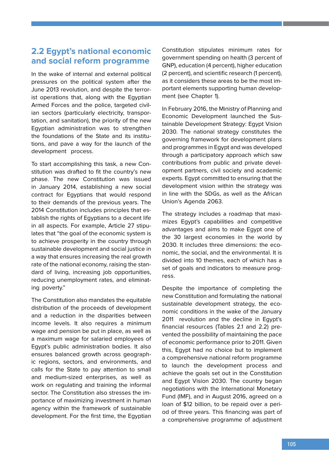## **2.2 Egypt's national economic and social reform programme**

In the wake of internal and external political pressures on the political system after the June 2013 revolution, and despite the terrorist operations that, along with the Egyptian Armed Forces and the police, targeted civilian sectors (particularly electricity, transportation, and sanitation), the priority of the new Egyptian administration was to strengthen the foundations of the State and its institutions, and pave a way for the launch of the development process.

To start accomplishing this task, a new Constitution was drafted to fit the country's new phase. The new Constitution was issued in January 2014, establishing a new social contract for Egyptians that would respond to their demands of the previous years. The 2014 Constitution includes principles that establish the rights of Egyptians to a decent life in all aspects. For example, Article 27 stipulates that "the goal of the economic system is to achieve prosperity in the country through sustainable development and social justice in a way that ensures increasing the real growth rate of the national economy, raising the standard of living, increasing job opportunities, reducing unemployment rates, and eliminating poverty."

The Constitution also mandates the equitable distribution of the proceeds of development and a reduction in the disparities between income levels. It also requires a minimum wage and pension be put in place, as well as a maximum wage for salaried employees of Egypt's public administration bodies. It also ensures balanced growth across geographic regions, sectors, and environments, and calls for the State to pay attention to small and medium-sized enterprises, as well as work on regulating and training the informal sector. The Constitution also stresses the importance of maximizing investment in human agency within the framework of sustainable development. For the first time, the Egyptian

Constitution stipulates minimum rates for government spending on health (3 percent of GNP), education (4 percent), higher education (2 percent), and scientific research (1 percent), as it considers these areas to be the most important elements supporting human development (see Chapter 1).

In February 2016, the Ministry of Planning and Economic Development launched the Sustainable Development Strategy: Egypt Vision 2030. The national strategy constitutes the governing framework for development plans and programmes in Egypt and was developed through a participatory approach which saw contributions from public and private development partners, civil society and academic experts. Egypt committed to ensuring that the development vision within the strategy was in line with the SDGs, as well as the African Union's Agenda 2063.

The strategy includes a roadmap that maximizes Egypt's capabilities and competitive advantages and aims to make Egypt one of the 30 largest economies in the world by 2030. It includes three dimensions: the economic, the social, and the environmental. It is divided into 10 themes, each of which has a set of goals and indicators to measure progress.

Despite the importance of completing the new Constitution and formulating the national sustainable development strategy, the economic conditions in the wake of the January 2011 revolution and the decline in Egypt's financial resources (Tables 2.1 and 2.2) prevented the possibility of maintaining the pace of economic performance prior to 2011. Given this, Egypt had no choice but to implement a comprehensive national reform programme to launch the development process and achieve the goals set out in the Constitution and Egypt Vision 2030. The country began negotiations with the International Monetary Fund (IMF), and in August 2016, agreed on a loan of \$12 billion, to be repaid over a period of three years. This financing was part of a comprehensive programme of adjustment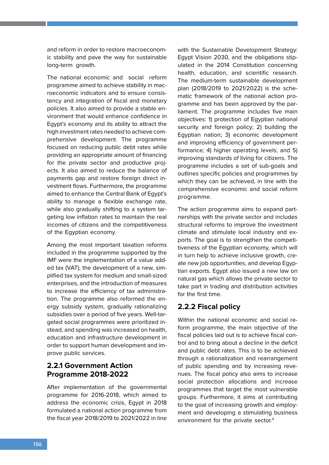and reform in order to restore macroeconomic stability and pave the way for sustainable long-term growth.

The national economic and social reform programme aimed to achieve stability in macroeconomic indicators and to ensure consistency and integration of fiscal and monetary policies. It also aimed to provide a stable environment that would enhance confidence in Egypt's economy and its ability to attract the high investment rates needed to achieve comprehensive development. The programme focused on reducing public debt rates while providing an appropriate amount of financing for the private sector and productive projects. It also aimed to reduce the balance of payments gap and restore foreign direct investment flows. Furthermore, the programme aimed to enhance the Central Bank of Egypt's ability to manage a flexible exchange rate, while also gradually shifting to a system targeting low inflation rates to maintain the real incomes of citizens and the competitiveness of the Egyptian economy.

Among the most important taxation reforms included in the programme supported by the IMF were the implementation of a value added tax (VAT), the development of a new, simplified tax system for medium and small-sized enterprises, and the introduction of measures to increase the efficiency of tax administration. The programme also reformed the energy subsidy system, gradually rationalizing subsidies over a period of five years. Well-targeted social programmes were prioritized instead, and spending was increased on health, education and infrastructure development in order to support human development and improve public services.

## **2.2.1 Government Action Programme 2018-2022**

After implementation of the governmental programme for 2016-2018, which aimed to address the economic crisis, Egypt in 2018 formulated a national action programme from the fiscal year 2018/2019 to 2021/2022 in line

with the Sustainable Development Strategy: Egypt Vision 2030, and the obligations stipulated in the 2014 Constitution concerning health, education, and scientific research. The medium-term sustainable development plan (2018/2019 to 2021/2022) is the schematic framework of the national action programme and has been approved by the parliament. The programme includes five main objectives: 1) protection of Egyptian national security and foreign policy; 2) building the Egyptian nation; 3) economic development and improving efficiency of government performance; 4) higher operating levels; and 5) improving standards of living for citizens. The programme includes a set of sub-goals and outlines specific policies and programmes by which they can be achieved, in line with the comprehensive economic and social reform programme.

The action programme aims to expand partnerships with the private sector and includes structural reforms to improve the investment climate and stimulate local industry and exports. The goal is to strengthen the competitiveness of the Egyptian economy, which will in turn help to achieve inclusive growth, create new job opportunities, and develop Egyptian exports. Egypt also issued a new law on natural gas which allows the private sector to take part in trading and distribution activities for the first time.

## **2.2.2 Fiscal policy**

Within the national economic and social reform programme, the main objective of the fiscal policies laid out is to achieve fiscal control and to bring about a decline in the deficit and public debt rates. This is to be achieved through a rationalization and rearrangement of public spending and by increasing revenues. The fiscal policy also aims to increase social protection allocations and increase programmes that target the most vulnerable groups. Furthermore, it aims at contributing to the goal of increasing growth and employment and developing a stimulating business environment for the private sector.<sup>4</sup>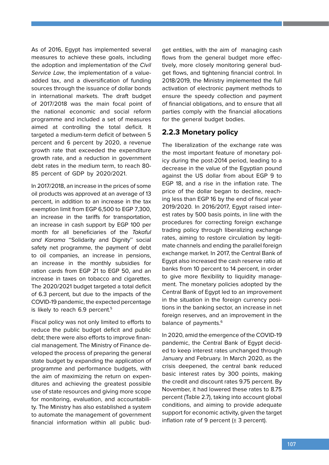As of 2016, Egypt has implemented several measures to achieve these goals, including the adoption and implementation of the Civil Service Law, the implementation of a valueadded tax, and a diversification of funding sources through the issuance of dollar bonds in international markets. The draft budget of 2017/2018 was the main focal point of the national economic and social reform programme and included a set of measures aimed at controlling the total deficit. It targeted a medium-term deficit of between 5 percent and 6 percent by 2020, a revenue growth rate that exceeded the expenditure growth rate, and a reduction in government debt rates in the medium term, to reach 80- 85 percent of GDP by 2020/2021.

In 2017/2018, an increase in the prices of some oil products was approved at an average of 13 percent, in addition to an increase in the tax exemption limit from EGP 6,500 to EGP 7,300, an increase in the tariffs for transportation, an increase in cash support by EGP 100 per month for all beneficiaries of the Takaful and Karama ''Solidarity and Dignity'' social safety net programme, the payment of debt to oil companies, an increase in pensions, an increase in the monthly subsidies for ration cards from EGP 21 to EGP 50, and an increase in taxes on tobacco and cigarettes. The 2020/2021 budget targeted a total deficit of 6.3 percent, but due to the impacts of the COVID-19 pandemic, the expected percentage is likely to reach 6.9 percent.<sup>5</sup>

Fiscal policy was not only limited to efforts to reduce the public budget deficit and public debt; there were also efforts to improve financial management. The Ministry of Finance developed the process of preparing the general state budget by expanding the application of programme and performance budgets, with the aim of maximizing the return on expenditures and achieving the greatest possible use of state resources and giving more scope for monitoring, evaluation, and accountability. The Ministry has also established a system to automate the management of government financial information within all public bud-

get entities, with the aim of managing cash flows from the general budget more effectively, more closely monitoring general budget flows, and tightening financial control. In 2018/2019, the Ministry implemented the full activation of electronic payment methods to ensure the speedy collection and payment of financial obligations, and to ensure that all parties comply with the financial allocations for the general budget bodies.

### **2.2.3 Monetary policy**

The liberalization of the exchange rate was the most important feature of monetary policy during the post-2014 period, leading to a decrease in the value of the Egyptian pound against the US dollar from about EGP 9 to EGP 18, and a rise in the inflation rate. The price of the dollar began to decline, reaching less than EGP 16 by the end of fiscal year 2019/2020. In 2016/2017, Egypt raised interest rates by 500 basis points, in line with the procedures for correcting foreign exchange trading policy through liberalizing exchange rates, aiming to restore circulation by legitimate channels and ending the parallel foreign exchange market. In 2017, the Central Bank of Egypt also increased the cash reserve ratio at banks from 10 percent to 14 percent, in order to give more flexibility to liquidity management. The monetary policies adopted by the Central Bank of Egypt led to an improvement in the situation in the foreign currency positions in the banking sector, an increase in net foreign reserves, and an improvement in the balance of payments.<sup>6</sup>

In 2020, amid the emergence of the COVID-19 pandemic, the Central Bank of Egypt decided to keep interest rates unchanged through January and February. In March 2020, as the crisis deepened, the central bank reduced basic interest rates by 300 points, making the credit and discount rates 9.75 percent. By November, it had lowered these rates to 8.75 percent (Table 2.7), taking into account global conditions, and aiming to provide adequate support for economic activity, given the target inflation rate of 9 percent  $(± 3$  percent).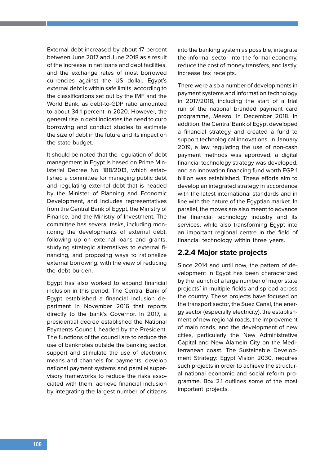External debt increased by about 17 percent between June 2017 and June 2018 as a result of the increase in net loans and debt facilities, and the exchange rates of most borrowed currencies against the US dollar. Egypt's external debt is within safe limits, according to the classifications set out by the IMF and the World Bank, as debt-to-GDP ratio amounted to about 34.1 percent in 2020. However, the general rise in debt indicates the need to curb borrowing and conduct studies to estimate the size of debt in the future and its impact on the state budget.

It should be noted that the regulation of debt management in Egypt is based on Prime Ministerial Decree No. 188/2013, which established a committee for managing public debt and regulating external debt that is headed by the Minister of Planning and Economic Development, and includes representatives from the Central Bank of Egypt, the Ministry of Finance, and the Ministry of Investment. The committee has several tasks, including monitoring the developments of external debt, following up on external loans and grants, studying strategic alternatives to external financing, and proposing ways to rationalize external borrowing, with the view of reducing the debt burden.

Egypt has also worked to expand financial inclusion in this period. The Central Bank of Egypt established a financial inclusion department in November 2016 that reports directly to the bank's Governor. In 2017, a presidential decree established the National Payments Council, headed by the President. The functions of the council are to reduce the use of banknotes outside the banking sector, support and stimulate the use of electronic means and channels for payments, develop national payment systems and parallel supervisory frameworks to reduce the risks associated with them, achieve financial inclusion by integrating the largest number of citizens into the banking system as possible, integrate the informal sector into the formal economy, reduce the cost of money transfers, and lastly, increase tax receipts.

There were also a number of developments in payment systems and information technology in 2017/2018, including the start of a trial run of the national branded payment card programme, Meeza, in December 2018. In addition, the Central Bank of Egypt developed a financial strategy and created a fund to support technological innovations. In January 2019, a law regulating the use of non-cash payment methods was approved, a digital financial technology strategy was developed, and an innovation financing fund worth EGP 1 billion was established. These efforts aim to develop an integrated strategy in accordance with the latest international standards and in line with the nature of the Egyptian market. In parallel, the moves are also meant to advance the financial technology industry and its services, while also transforming Egypt into an important regional centre in the field of financial technology within three years.

### **2.2.4 Major state projects**

Since 2014 and until now, the pattern of development in Egypt has been characterized by the launch of a large number of major state projects<sup>7</sup> in multiple fields and spread across the country. These projects have focused on the transport sector, the Suez Canal, the energy sector (especially electricity), the establishment of new regional roads, the improvement of main roads, and the development of new cities, particularly the New Administrative Capital and New Alamein City on the Mediterranean coast. The Sustainable Development Strategy: Egypt Vision 2030, requires such projects in order to achieve the structural national economic and social reform programme. Box 2.1 outlines some of the most important projects.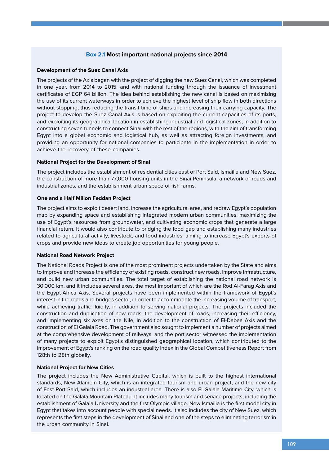#### **Box 2.1 Most important national projects since 2014**

#### **Development of the Suez Canal Axis**

The projects of the Axis began with the project of digging the new Suez Canal, which was completed in one year, from 2014 to 2015, and with national funding through the issuance of investment certificates of EGP 64 billion. The idea behind establishing the new canal is based on maximizing the use of its current waterways in order to achieve the highest level of ship flow in both directions without stopping, thus reducing the transit time of ships and increasing their carrying capacity. The project to develop the Suez Canal Axis is based on exploiting the current capacities of its ports, and exploiting its geographical location in establishing industrial and logistical zones, in addition to constructing seven tunnels to connect Sinai with the rest of the regions, with the aim of transforming Egypt into a global economic and logistical hub, as well as attracting foreign investments, and providing an opportunity for national companies to participate in the implementation in order to achieve the recovery of these companies.

#### **National Project for the Development of Sinai**

The project includes the establishment of residential cities east of Port Said, Ismailia and New Suez, the construction of more than 77,000 housing units in the Sinai Peninsula, a network of roads and industrial zones, and the establishment urban space of fish farms.

#### **One and a Half Milion Feddan Project**

The project aims to exploit desert land, increase the agricultural area, and redraw Egypt's population map by expanding space and establishing integrated modern urban communities, maximizing the use of Egypt's resources from groundwater, and cultivating economic crops that generate a large financial return. It would also contribute to bridging the food gap and establishing many industries related to agricultural activity, livestock, and food industries, aiming to increase Egypt's exports of crops and provide new ideas to create job opportunities for young people.

#### **National Road Network Project**

The National Roads Project is one of the most prominent projects undertaken by the State and aims to improve and increase the efficiency of existing roads, construct new roads, improve infrastructure, and build new urban communities. The total target of establishing the national road network is 30,000 km, and it includes several axes, the most important of which are the Rod Al-Farag Axis and the Egypt-Africa Axis. Several projects have been implemented within the framework of Egypt's interest in the roads and bridges sector, in order to accommodate the increasing volume of transport, while achieving traffic fluidity, in addition to serving national projects. The projects included the construction and duplication of new roads, the development of roads, increasing their efficiency, and implementing six axes on the Nile, in addition to the construction of El-Dabaa Axis and the construction of El Galala Road. The government also sought to implement a number of projects aimed at the comprehensive development of railways, and the port sector witnessed the implementation of many projects to exploit Egypt's distinguished geographical location, which contributed to the improvement of Egypt's ranking on the road quality index in the Global Competitiveness Report from 128th to 28th globally.

#### **National Project for New Cities**

The project includes the New Administrative Capital, which is built to the highest international standards, New Alamein City, which is an integrated tourism and urban project, and the new city of East Port Said, which includes an industrial area. There is also El Galala Maritime City, which is located on the Galala Mountain Plateau. It includes many tourism and service projects, including the establishment of Galala University and the first Olympic village. New Ismailia is the first model city in Egypt that takes into account people with special needs. It also includes the city of New Suez, which represents the first steps in the development of Sinai and one of the steps to eliminating terrorism in the urban community in Sinai.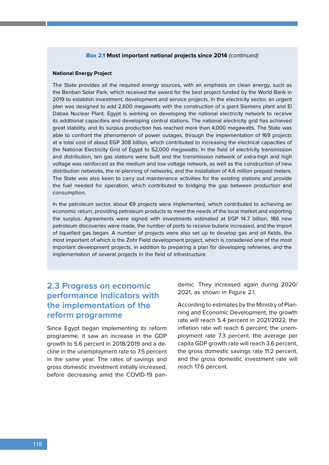#### **Box 2.1 Most important national projects since 2014** (continued)

#### **National Energy Project**

The State provides all the required energy sources, with an emphasis on clean energy, such as the Benban Solar Park, which received the award for the best project funded by the World Bank in 2019 to establish investment, development and service projects. In the electricity sector, an urgent plan was designed to add 2,600 megawatts with the construction of a giant Siemens plant and El Dabaa Nuclear Plant. Egypt is working on developing the national electricity network to receive its additional capacities and developing control stations. The national electricity grid has achieved great stability, and its surplus production has reached more than 4,000 megawatts. The State was able to confront the phenomenon of power outages, through the implementation of 169 projects at a total cost of about EGP 308 billion, which contributed to increasing the electrical capacities of the National Electricity Grid of Egypt to 52,000 megawatts. In the field of electricity transmission and distribution, ten gas stations were built and the transmission network of extra-high and high voltage was reinforced as the medium and low voltage network, as well as the construction of new distribution networks, the re-planning of networks, and the installation of 4.6 million prepaid meters. The State was also keen to carry out maintenance activities for the existing stations and provide the fuel needed for operation, which contributed to bridging the gap between production and consumption.

In the petroleum sector, about 69 projects were implemented, which contributed to achieving an economic return, providing petroleum products to meet the needs of the local market and exporting the surplus. Agreements were signed with investments estimated at EGP 14.7 billion, 186 new petroleum discoveries were made, the number of ports to receive butane increased, and the import of liquefied gas began. A number of projects were also set up to develop gas and oil fields, the most important of which is the Zohr Field development project, which is considered one of the most important development projects, in addition to preparing a plan for developing refineries, and the implementation of several projects in the field of infrastructure.

## **2.3 Progress on economic performance indicators with the implementation of the reform programme**

Since Egypt began implementing its reform programme, it saw an increase in the GDP growth to 5.6 percent in 2018/2019 and a decline in the unemployment rate to 7.5 percent in the same year. The rates of savings and gross domestic investment initially increased, before decreasing amid the COVID-19 pandemic. They increased again during 2020/ 2021, as shown in Figure 2.1.

According to estimates by the Ministry of Planning and Economic Development, the growth rate will reach 5.4 percent in 2021/2022, the inflation rate will reach 6 percent, the unemployment rate 7.3 percent, the average per capita GDP growth rate will reach 3.6 percent, the gross domestic savings rate 11.2 percent, and the gross domestic investment rate will reach 17.6 percent.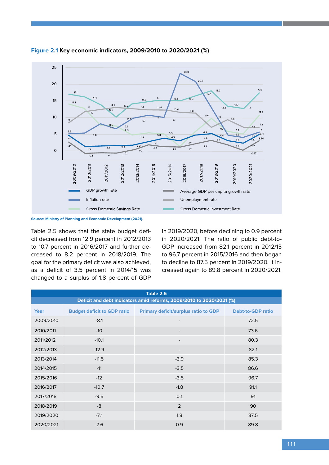



**Source: Ministry of Planning and Economic Development (2021).**

Table 2.5 shows that the state budget deficit decreased from 12.9 percent in 2012/2013 to 10.7 percent in 2016/2017 and further decreased to 8.2 percent in 2018/2019. The goal for the primary deficit was also achieved, as a deficit of 3.5 percent in 2014/15 was changed to a surplus of 1.8 percent of GDP

in 2019/2020, before declining to 0.9 percent in 2020/2021. The ratio of public debt-to-GDP increased from 82.1 percent in 2012/13 to 96.7 percent in 2015/2016 and then began to decline to 87.5 percent in 2019/2020. It increased again to 89.8 percent in 2020/2021.

| Table 2.5 |                                                                      |                                             |                          |  |  |  |  |
|-----------|----------------------------------------------------------------------|---------------------------------------------|--------------------------|--|--|--|--|
|           | Deficit and debt indicators amid reforms, 2009/2010 to 2020/2021 (%) |                                             |                          |  |  |  |  |
| Year      | <b>Budget deficit to GDP ratio</b>                                   | <b>Primary deficit/surplus ratio to GDP</b> | <b>Debt-to-GDP ratio</b> |  |  |  |  |
| 2009/2010 | $-8.1$                                                               |                                             | 72.5                     |  |  |  |  |
| 2010/2011 | $-10$                                                                |                                             | 73.6                     |  |  |  |  |
| 2011/2012 | $-10.1$                                                              |                                             | 80.3                     |  |  |  |  |
| 2012/2013 | $-12.9$                                                              |                                             | 82.1                     |  |  |  |  |
| 2013/2014 | $-11.5$                                                              | $-3.9$                                      | 85.3                     |  |  |  |  |
| 2014/2015 | $-11$                                                                | $-3.5$                                      | 86.6                     |  |  |  |  |
| 2015/2016 | $-12$                                                                | $-3.5$                                      | 96.7                     |  |  |  |  |
| 2016/2017 | $-10.7$                                                              | $-1.8$                                      | 91.1                     |  |  |  |  |
| 2017/2018 | $-9.5$                                                               | 0.1                                         | 91                       |  |  |  |  |
| 2018/2019 | -8                                                                   | 2                                           | 90                       |  |  |  |  |
| 2019/2020 | $-7.1$                                                               | 1.8                                         | 87.5                     |  |  |  |  |
| 2020/2021 | $-7.6$                                                               | 0.9                                         | 89.8                     |  |  |  |  |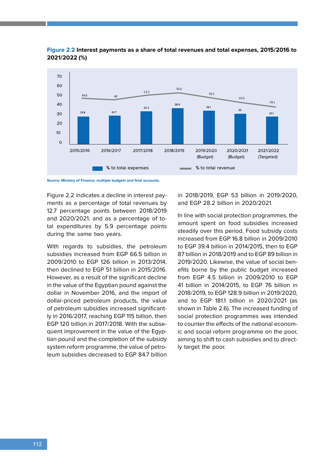

**Figure 2.2 Interest payments as a share of total revenues and total expenses, 2015/2016 to 2021/2022 (%)**

**Source: Ministry of Finance, multiple budgets and final accounts.**

Figure 2.2 indicates a decline in interest payments as a percentage of total revenues by 12.7 percentage points between 2018/2019 and 2020/2021, and as a percentage of total expenditures by 5.9 percentage points during the same two years.

With regards to subsidies, the petroleum subsidies increased from EGP 66.5 billion in 2009/2010 to EGP 126 billion in 2013/2014, then declined to EGP 51 billion in 2015/2016. However, as a result of the significant decline in the value of the Egyptian pound against the dollar in November 2016, and the import of dollar-priced petroleum products, the value of petroleum subsidies increased significantly in 2016/2017, reaching EGP 115 billion, then EGP 120 billion in 2017/2018. With the subsequent improvement in the value of the Egyptian pound and the completion of the subsidy system reform programme, the value of petroleum subsidies decreased to EGP 84.7 billion

in 2018/2019, EGP 53 billion in 2019/2020, and EGP 28.2 billion in 2020/2021.

In line with social protection programmes, the amount spent on food subsidies increased steadily over this period. Food subsidy costs increased from EGP 16.8 billion in 2009/2010 to EGP 39.4 billion in 2014/2015, then to EGP 87 billion in 2018/2019 and to EGP 89 billion in 2019/2020. Likewise, the value of social benefits borne by the public budget increased from EGP 4.5 billion in 2009/2010 to EGP 41 billion in 2014/2015, to EGP 76 billion in 2018/2019, to EGP 128.9 billion in 2019/2020, and to EGP 181.1 billion in 2020/2021 (as shown in Table 2.6). The increased funding of social protection programmes was intended to counter the effects of the national economic and social reform programme on the poor, aiming to shift to cash subsidies and to directly target the poor.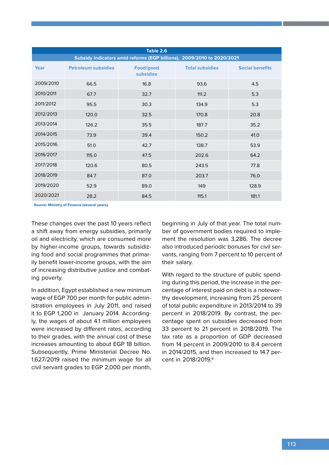| Table 2.6 |                                                                        |                        |                        |                        |  |  |  |  |
|-----------|------------------------------------------------------------------------|------------------------|------------------------|------------------------|--|--|--|--|
|           | Subsidy indicators amid reforms (EGP billions), 2009/2010 to 2020/2021 |                        |                        |                        |  |  |  |  |
| Year      | <b>Petroleum subsidies</b>                                             | Food/good<br>subsidies | <b>Total subsidies</b> | <b>Social benefits</b> |  |  |  |  |
| 2009/2010 | 66.5                                                                   | 16.8                   | 93.6                   | 4.5                    |  |  |  |  |
| 2010/2011 | 67.7                                                                   | 32.7                   | 111.2                  | 5.3                    |  |  |  |  |
| 2011/2012 | 95.5                                                                   | 30.3                   | 134.9                  | 5.3                    |  |  |  |  |
| 2012/2013 | 120.0                                                                  | 32.5                   | 170.8                  | 20.8                   |  |  |  |  |
| 2013/2014 | 126.2                                                                  | 35.5                   | 187.7                  | 35.2                   |  |  |  |  |
| 2014/2015 | 73.9                                                                   | 39.4                   | 150.2                  | 41.0                   |  |  |  |  |
| 2015/2016 | 51.0                                                                   | 42.7                   | 138.7                  | 53.9                   |  |  |  |  |
| 2016/2017 | 115.0                                                                  | 47.5                   | 202.6                  | 64.2                   |  |  |  |  |
| 2017/2018 | 120.6                                                                  | 80.5                   | 243.5                  | 77.8                   |  |  |  |  |
| 2018/2019 | 84.7                                                                   | 87.0                   | 203.7                  | 76.0                   |  |  |  |  |
| 2019/2020 | 52.9                                                                   | 89.0                   | 149                    | 128.9                  |  |  |  |  |
| 2020/2021 | 28.2                                                                   | 84.5                   | 115.1                  | 181.1                  |  |  |  |  |

**Source: Ministry of Finance (several years).**

These changes over the past 10 years reflect a shift away from energy subsidies, primarily oil and electricity, which are consumed more by higher-income groups, towards subsidizing food and social programmes that primarily benefit lower-income groups, with the aim of increasing distributive justice and combating poverty.

In addition, Egypt established a new minimum wage of EGP 700 per month for public administration employees in July 2011, and raised it to EGP 1,200 in January 2014. Accordingly, the wages of about 4.1 million employees were increased by different rates, according to their grades, with the annual cost of these increases amounting to about EGP 18 billion. Subsequently, Prime Ministerial Decree No. 1,627/2019 raised the minimum wage for all civil servant grades to EGP 2,000 per month,

beginning in July of that year. The total number of government bodies required to implement the resolution was 3,286. The decree also introduced periodic bonuses for civil servants, ranging from 7 percent to 10 percent of their salary.

With regard to the structure of public spending during this period, the increase in the percentage of interest paid on debt is a noteworthy development, increasing from 25 percent of total public expenditure in 2013/2014 to 39 percent in 2018/2019. By contrast, the percentage spent on subsidies decreased from 33 percent to 21 percent in 2018/2019. The tax rate as a proportion of GDP decreased from 14 percent in 2009/2010 to 8.4 percent in 2014/2015, and then increased to 14.7 percent in 2018/2019.<sup>8</sup>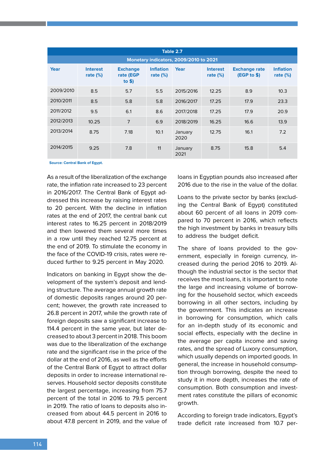|           | Table 2.7                              |                                        |                                 |                 |                                |                                     |                                 |  |
|-----------|----------------------------------------|----------------------------------------|---------------------------------|-----------------|--------------------------------|-------------------------------------|---------------------------------|--|
|           | Monetary indicators, 2009/2010 to 2021 |                                        |                                 |                 |                                |                                     |                                 |  |
| Year      | <b>Interest</b><br>rate $(\%)$         | <b>Exchange</b><br>rate (EGP<br>to $$$ | <b>Inflation</b><br>rate $(\%)$ | Year            | <b>Interest</b><br>rate $(\%)$ | <b>Exchange rate</b><br>(EGP to \$) | <b>Inflation</b><br>rate $(\%)$ |  |
| 2009/2010 | 8.5                                    | 5.7                                    | 5.5                             | 2015/2016       | 12.25                          | 8.9                                 | 10.3                            |  |
| 2010/2011 | 8.5                                    | 5.8                                    | 5.8                             | 2016/2017       | 17.25                          | 17.9                                | 23.3                            |  |
| 2011/2012 | 9.5                                    | 6.1                                    | 8.6                             | 2017/2018       | 17.25                          | 17.9                                | 20.9                            |  |
| 2012/2013 | 10.25                                  | $\overline{7}$                         | 6.9                             | 2018/2019       | 16.25                          | 16.6                                | 13.9                            |  |
| 2013/2014 | 8.75                                   | 7.18                                   | 10.1                            | January<br>2020 | 12.75                          | 16.1                                | 7.2                             |  |
| 2014/2015 | 9.25                                   | 7.8                                    | 11                              | January<br>2021 | 8.75                           | 15.8                                | 5.4                             |  |

**Source: Central Bank of Egypt.**

As a result of the liberalization of the exchange rate, the inflation rate increased to 23 percent in 2016/2017. The Central Bank of Egypt addressed this increase by raising interest rates to 20 percent. With the decline in inflation rates at the end of 2017, the central bank cut interest rates to 16.25 percent in 2018/2019 and then lowered them several more times in a row until they reached 12.75 percent at the end of 2019. To stimulate the economy in the face of the COVID-19 crisis, rates were reduced further to 9.25 percent in May 2020.

Indicators on banking in Egypt show the development of the system's deposit and lending structure. The average annual growth rate of domestic deposits ranges around 20 percent; however, the growth rate increased to 26.8 percent in 2017, while the growth rate of foreign deposits saw a significant increase to 114.4 percent in the same year, but later decreased to about 3 percent in 2018. This boom was due to the liberalization of the exchange rate and the significant rise in the price of the dollar at the end of 2016, as well as the efforts of the Central Bank of Egypt to attract dollar deposits in order to increase international reserves. Household sector deposits constitute the largest percentage, increasing from 75.7 percent of the total in 2016 to 79.5 percent in 2019. The ratio of loans to deposits also increased from about 44.5 percent in 2016 to about 47.8 percent in 2019, and the value of loans in Egyptian pounds also increased after 2016 due to the rise in the value of the dollar.

Loans to the private sector by banks (excluding the Central Bank of Egypt) constituted about 60 percent of all loans in 2019 compared to 70 percent in 2016, which reflects the high investment by banks in treasury bills to address the budget deficit.

The share of loans provided to the government, especially in foreign currency, increased during the period 2016 to 2019. Although the industrial sector is the sector that receives the most loans, it is important to note the large and increasing volume of borrowing for the household sector, which exceeds borrowing in all other sectors, including by the government. This indicates an increase in borrowing for consumption, which calls for an in-depth study of its economic and social effects, especially with the decline in the average per capita income and saving rates, and the spread of Luxory consumption, which usually depends on imported goods. In general, the increase in household consumption through borrowing, despite the need to study it in more depth, increases the rate of consumption. Both consumption and investment rates constitute the pillars of economic growth.

According to foreign trade indicators, Egypt's trade deficit rate increased from 10.7 per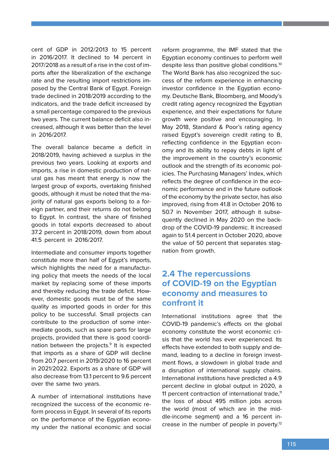cent of GDP in 2012/2013 to 15 percent in 2016/2017. It declined to 14 percent in 2017/2018 as a result of a rise in the cost of imports after the liberalization of the exchange rate and the resulting import restrictions imposed by the Central Bank of Egypt. Foreign trade declined in 2018/2019 according to the indicators, and the trade deficit increased by a small percentage compared to the previous two years. The current balance deficit also increased, although it was better than the level in 2016/2017.

The overall balance became a deficit in 2018/2019, having achieved a surplus in the previous two years. Looking at exports and imports, a rise in domestic production of natural gas has meant that energy is now the largest group of exports, overtaking finished goods, although it must be noted that the majority of natural gas exports belong to a foreign partner, and their returns do not belong to Egypt. In contrast, the share of finished goods in total exports decreased to about 37.2 percent in 2018/2019, down from about 41.5 percent in 2016/2017.

Intermediate and consumer imports together constitute more than half of Egypt's imports, which highlights the need for a manufacturing policy that meets the needs of the local market by replacing some of these imports and thereby reducing the trade deficit. However, domestic goods must be of the same quality as imported goods in order for this policy to be successful. Small projects can contribute to the production of some intermediate goods, such as spare parts for large projects, provided that there is good coordination between the projects.9 It is expected that imports as a share of GDP will decline from 20.7 percent in 2019/2020 to 16 percent in 2021/2022. Exports as a share of GDP will also decrease from 13.1 percent to 9.6 percent over the same two years.

A number of international institutions have recognized the success of the economic reform process in Egypt. In several of its reports on the performance of the Egyptian economy under the national economic and social

reform programme, the IMF stated that the Egyptian economy continues to perform well despite less than positive global conditions.<sup>10</sup> The World Bank has also recognized the success of the reform experience in enhancing investor confidence in the Egyptian economy. Deutsche Bank, Bloomberg, and Moody's credit rating agency recognized the Egyptian experience, and their expectations for future growth were positive and encouraging. In May 2018, Standard & Poor's rating agency raised Egypt's sovereign credit rating to B, reflecting confidence in the Egyptian economy and its ability to repay debts in light of the improvement in the country's economic outlook and the strength of its economic policies. The Purchasing Managers' Index, which reflects the degree of confidence in the economic performance and in the future outlook of the economy by the private sector, has also improved, rising from 41.8 in October 2016 to 50.7 in November 2017, although it subsequently declined in May 2020 on the backdrop of the COVID-19 pandemic. It increased again to 51.4 percent in October 2020, above the value of 50 percent that separates stagnation from growth.

# **2.4 The repercussions of COVID-19 on the Egyptian economy and measures to confront it**

International institutions agree that the COVID-19 pandemic's effects on the global economy constitute the worst economic crisis that the world has ever experienced. Its effects have extended to both supply and demand, leading to a decline in foreign investment flows, a slowdown in global trade and a disruption of international supply chains. International institutions have predicted a 4.9 percent decline in global output in 2020, a 11 percent contraction of international trade, $<sup>11</sup>$ </sup> the loss of about 495 million jobs across the world (most of which are in the middle-income segment) and a 16 percent increase in the number of people in poverty.<sup>12</sup>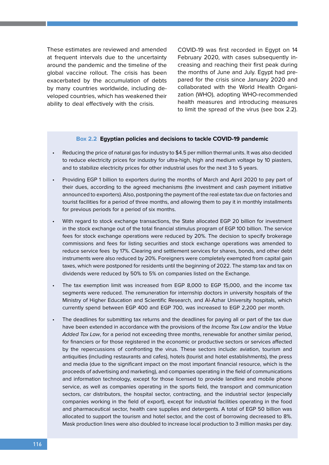These estimates are reviewed and amended at frequent intervals due to the uncertainty around the pandemic and the timeline of the global vaccine rollout. The crisis has been exacerbated by the accumulation of debts by many countries worldwide, including developed countries, which has weakened their ability to deal effectively with the crisis.

COVID-19 was first recorded in Egypt on 14 February 2020, with cases subsequently increasing and reaching their first peak during the months of June and July. Egypt had prepared for the crisis since January 2020 and collaborated with the World Health Organization (WHO), adopting WHO-recommended health measures and introducing measures to limit the spread of the virus (see box 2.2).

#### **Box 2.2 Egyptian policies and decisions to tackle COVID-19 pandemic**

- Reducing the price of natural gas for industry to \$4.5 per million thermal units. It was also decided to reduce electricity prices for industry for ultra-high, high and medium voltage by 10 piasters, and to stabilize electricity prices for other industrial uses for the next 3 to 5 years.
- Providing EGP 1 billion to exporters during the months of March and April 2020 to pay part of their dues, according to the agreed mechanisms (the investment and cash payment initiative announced to exporters). Also, postponing the payment of the real estate tax due on factories and tourist facilities for a period of three months, and allowing them to pay it in monthly installments for previous periods for a period of six months.
- With regard to stock exchange transactions, the State allocated EGP 20 billion for investment in the stock exchange out of the total financial stimulus program of EGP 100 billion. The service fees for stock exchange operations were reduced by 20%. The decision to specify brokerage commissions and fees for listing securities and stock exchange operations was amended to reduce service fees by 17%. Clearing and settlement services for shares, bonds, and other debt instruments were also reduced by 20%. Foreigners were completely exempted from capital gain taxes, which were postponed for residents until the beginning of 2022. The stamp tax and tax on dividends were reduced by 50% to 5% on companies listed on the Exchange.
- The tax exemption limit was increased from EGP 8,000 to EGP 15,000, and the income tax segments were reduced. The remuneration for internship doctors in university hospitals of the Ministry of Higher Education and Scientific Research, and Al-Azhar University hospitals, which currently spend between EGP 400 and EGP 700, was increased to EGP 2,200 per month.
- The deadlines for submitting tax returns and the deadlines for paying all or part of the tax due have been extended in accordance with the provisions of the *Income Tax Law* and/or the Value Added Tax Law, for a period not exceeding three months, renewable for another similar period, for financiers or for those registered in the economic or productive sectors or services affected by the repercussions of confronting the virus. These sectors include: aviation, tourism and antiquities (including restaurants and cafes), hotels (tourist and hotel establishments), the press and media (due to the significant impact on the most important financial resource, which is the proceeds of advertising and marketing), and companies operating in the field of communications and information technology, except for those licensed to provide landline and mobile phone service, as well as companies operating in the sports field, the transport and communication sectors, car distributors, the hospital sector, contracting, and the industrial sector (especially companies working in the field of export), except for industrial facilities operating in the food and pharmaceutical sector, health care supplies and detergents. A total of EGP 50 billion was allocated to support the tourism and hotel sector, and the cost of borrowing decreased to 8%. Mask production lines were also doubled to increase local production to 3 million masks per day.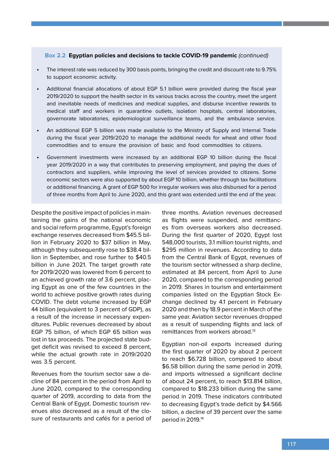#### **Box 2.2 Egyptian policies and decisions to tackle COVID-19 pandemic** (continued)

- **•** The interest rate was reduced by 300 basis points, bringing the credit and discount rate to 9.75% to support economic activity.
- **•** Additional financial allocations of about EGP 5.1 billion were provided during the fiscal year 2019/2020 to support the health sector in its various tracks across the country, meet the urgent and inevitable needs of medicines and medical supplies, and disburse incentive rewards to medical staff and workers in quarantine outlets, isolation hospitals, central laboratories, governorate laboratories, epidemiological surveillance teams, and the ambulance service.
- **•** An additional EGP 5 billion was made available to the Ministry of Supply and Internal Trade during the fiscal year 2019/2020 to manage the additional needs for wheat and other food commodities and to ensure the provision of basic and food commodities to citizens.
- **•** Government investments were increased by an additional EGP 10 billion during the fiscal year 2019/2020 in a way that contributes to preserving employment, and paying the dues of contractors and suppliers, while improving the level of services provided to citizens. Some economic sectors were also supported by about EGP 10 billion, whether through tax facilitations or additional financing. A grant of EGP 500 for irregular workers was also disbursed for a period of three months from April to June 2020, and this grant was extended until the end of the year.

Despite the positive impact of policies in maintaining the gains of the national economic and social reform programme, Egypt's foreign exchange reserves decreased from \$45.5 billion in February 2020 to \$37 billion in May, although they subsequently rose to \$38.4 billion in September, and rose further to \$40.5 billion in June 2021. The target growth rate for 2019/2020 was lowered from 6 percent to an achieved growth rate of 3.6 percent, placing Egypt as one of the few countries in the world to achieve positive growth rates during COVID. The debt volume increased by EGP 44 billion (equivalent to 3 percent of GDP), as a result of the increase in necessary expenditures. Public revenues decreased by about EGP 75 billion, of which EGP 65 billion was lost in tax proceeds. The projected state budget deficit was revised to exceed 8 percent, while the actual growth rate in 2019/2020 was 3.5 percent.

Revenues from the tourism sector saw a decline of 84 percent in the period from April to June 2020, compared to the corresponding quarter of 2019, according to data from the Central Bank of Egypt. Domestic tourism revenues also decreased as a result of the closure of restaurants and cafés for a period of three months. Aviation revenues decreased as flights were suspended, and remittances from overseas workers also decreased. During the first quarter of 2020, Egypt lost 548,000 tourists, 3.1 million tourist nights, and \$295 million in revenues. According to data from the Central Bank of Egypt, revenues of the tourism sector witnessed a sharp decline, estimated at 84 percent, from April to June 2020, compared to the corresponding period in 2019. Shares in tourism and entertainment companies listed on the Egyptian Stock Exchange declined by 4.1 percent in February 2020 and then by 18.9 percent in March of the same year. Aviation sector revenues dropped as a result of suspending flights and lack of remittances from workers abroad.<sup>13</sup>

Egyptian non-oil exports increased during the first quarter of 2020 by about 2 percent to reach \$6.728 billion, compared to about \$6.58 billion during the same period in 2019, and imports witnessed a significant decline of about 24 percent, to reach \$13.814 billion, compared to \$18.233 billion during the same period in 2019. These indicators contributed to decreasing Egypt's trade deficit by \$4.566 billion, a decline of 39 percent over the same period in 2019.14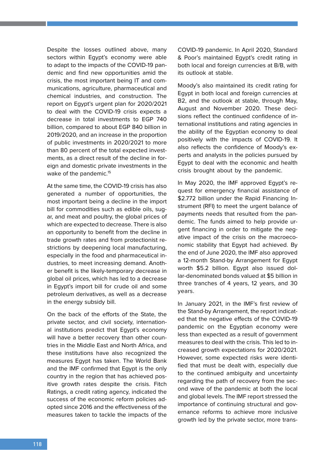Despite the losses outlined above, many sectors within Egypt's economy were able to adapt to the impacts of the COVID-19 pandemic and find new opportunities amid the crisis, the most important being IT and communications, agriculture, pharmaceutical and chemical industries, and construction. The report on Egypt's urgent plan for 2020/2021 to deal with the COVID-19 crisis expects a decrease in total investments to EGP 740 billion, compared to about EGP 840 billion in 2019/2020, and an increase in the proportion of public investments in 2020/2021 to more than 80 percent of the total expected investments, as a direct result of the decline in foreign and domestic private investments in the wake of the pandemic.<sup>15</sup>

At the same time, the COVID-19 crisis has also generated a number of opportunities, the most important being a decline in the import bill for commodities such as edible oils, sugar, and meat and poultry, the global prices of which are expected to decrease. There is also an opportunity to benefit from the decline in trade growth rates and from protectionist restrictions by deepening local manufacturing, especially in the food and pharmaceutical industries, to meet increasing demand. Another benefit is the likely-temporary decrease in global oil prices, which has led to a decrease in Egypt's import bill for crude oil and some petroleum derivatives, as well as a decrease in the energy subsidy bill.

On the back of the efforts of the State, the private sector, and civil society, international institutions predict that Egypt's economy will have a better recovery than other countries in the Middle East and North Africa, and these institutions have also recognized the measures Egypt has taken. The World Bank and the IMF confirmed that Egypt is the only country in the region that has achieved positive growth rates despite the crisis. Fitch Ratings, a credit rating agency, indicated the success of the economic reform policies adopted since 2016 and the effectiveness of the measures taken to tackle the impacts of the COVID-19 pandemic. In April 2020, Standard & Poor's maintained Egypt's credit rating in both local and foreign currencies at B/B, with its outlook at stable.

Moody's also maintained its credit rating for Egypt in both local and foreign currencies at B2, and the outlook at stable, through May, August and November 2020. These decisions reflect the continued confidence of international institutions and rating agencies in the ability of the Egyptian economy to deal positively with the impacts of COVID-19. It also reflects the confidence of Moody's experts and analysts in the policies pursued by Egypt to deal with the economic and health crisis brought about by the pandemic.

In May 2020, the IMF approved Egypt's request for emergency financial assistance of \$2.772 billion under the Rapid Financing Instrument (RFI) to meet the urgent balance of payments needs that resulted from the pandemic. The funds aimed to help provide urgent financing in order to mitigate the negative impact of the crisis on the macroeconomic stability that Egypt had achieved. By the end of June 2020, the IMF also approved a 12-month Stand-by Arrangement for Egypt worth \$5.2 billion. Egypt also issued dollar-denominated bonds valued at \$5 billion in three tranches of 4 years, 12 years, and 30 years.

In January 2021, in the IMF's first review of the Stand-by Arrangement, the report indicated that the negative effects of the COVID-19 pandemic on the Egyptian economy were less than expected as a result of government measures to deal with the crisis. This led to increased growth expectations for 2020/2021. However, some expected risks were identified that must be dealt with, especially due to the continued ambiguity and uncertainty regarding the path of recovery from the second wave of the pandemic at both the local and global levels. The IMF report stressed the importance of continuing structural and governance reforms to achieve more inclusive growth led by the private sector, more trans-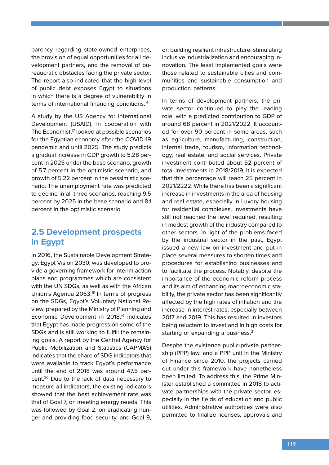parency regarding state-owned enterprises, the provision of equal opportunities for all development partners, and the removal of bureaucratic obstacles facing the private sector. The report also indicated that the high level of public debt exposes Egypt to situations in which there is a degree of vulnerability in terms of international financing conditions.16

A study by the US Agency for International Development (USAID), in cooperation with The Economist, $17$  looked at possible scenarios for the Egyptian economy after the COVID-19 pandemic and until 2025. The study predicts a gradual increase in GDP growth to 5.28 percent in 2025 under the base scenario, growth of 5.7 percent in the optimistic scenario, and growth of 5.22 percent in the pessimistic scenario. The unemployment rate was predicted to decline in all three scenarios, reaching 9.5 percent by 2025 in the base scenario and 8.1 percent in the optimistic scenario.

## **2.5 Development prospects in Egypt**

In 2016, the Sustainable Development Strategy: Egypt Vision 2030, was developed to provide a governing framework for interim action plans and programmes which are consistent with the UN SDGs, as well as with the African Union's Agenda 2063.<sup>18</sup> In terms of progress on the SDGs, Egypt's Voluntary National Review, prepared by the Ministry of Planning and Economic Development in 2018,<sup>19</sup> indicates that Egypt has made progress on some of the SDGs and is still working to fulfill the remaining goals. A report by the Central Agency for Public Mobilization and Statistics (CAPMAS) indicates that the share of SDG indicators that were available to track Egypt's performance until the end of 2018 was around 47.5 percent.20 Due to the lack of data necessary to measure all indicators, the existing indicators showed that the best achievement rate was that of Goal 7, on meeting energy needs. This was followed by Goal 2, on eradicating hunger and providing food security, and Goal 9,

on building resilient infrastructure, stimulating inclusive industrialization and encouraging innovation. The least implemented goals were those related to sustainable cities and communities and sustainable consumption and production patterns.

In terms of development partners, the private sector continued to play the leading role, with a predicted contribution to GDP of around 68 percent in 2021/2022. It accounted for over 90 percent in some areas, such as agriculture, manufacturing, construction, internal trade, tourism, information technology, real estate, and social services. Private investment contributed about 52 percent of total investments in 2018/2019. It is expected that this percentage will reach 25 percent in 2021/2222. While there has been a significant increase in investments in the area of housing and real estate, especially in Luxory housing for residential complexes, investments have still not reached the level required, resulting in modest growth of the industry compared to other sectors. In light of the problems faced by the industrial sector in the past, Egypt issued a new law on investment and put in place several measures to shorten times and procedures for establishing businesses and to facilitate the process. Notably, despite the importance of the economic reform process and its aim of enhancing macroeconomic stability, the private sector has been significantly affected by the high rates of inflation and the increase in interest rates, especially between 2017 and 2019. This has resulted in investors being reluctant to invest and in high costs for starting or expanding a business.<sup>21</sup>

Despite the existence public-private partnership (PPP) law, and a PPP unit in the Ministry of Finance since 2010, the projects carried out under this framework have nonetheless been limited. To address this, the Prime Minister established a committee in 2018 to activate partnerships with the private sector, especially in the fields of education and public utilities. Administrative authorities were also permitted to finalize licenses, approvals and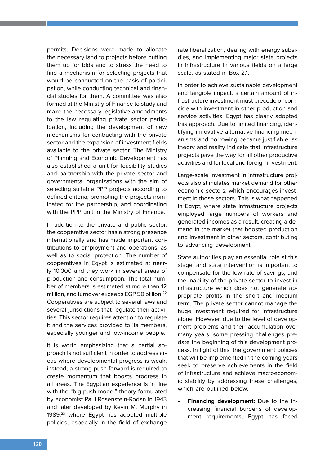permits. Decisions were made to allocate the necessary land to projects before putting them up for bids and to stress the need to find a mechanism for selecting projects that would be conducted on the basis of participation, while conducting technical and financial studies for them. A committee was also formed at the Ministry of Finance to study and make the necessary legislative amendments to the law regulating private sector participation, including the development of new mechanisms for contracting with the private sector and the expansion of investment fields available to the private sector. The Ministry of Planning and Economic Development has also established a unit for feasibility studies and partnership with the private sector and governmental organizations with the aim of selecting suitable PPP projects according to defined criteria, promoting the projects nominated for the partnership, and coordinating with the PPP unit in the Ministry of Finance.

In addition to the private and public sector, the cooperative sector has a strong presence internationally and has made important contributions to employment and operations, as well as to social protection. The number of cooperatives in Egypt is estimated at nearly 10,000 and they work in several areas of production and consumption. The total number of members is estimated at more than 12 million, and turnover exceeds EGP 50 billion.<sup>22</sup> Cooperatives are subject to several laws and several jurisdictions that regulate their activities. This sector requires attention to regulate it and the services provided to its members, especially younger and low-income people.

It is worth emphasizing that a partial approach is not sufficient in order to address areas where developmental progress is weak; instead, a strong push forward is required to create momentum that boosts progress in all areas. The Egyptian experience is in line with the "big push model" theory formulated by economist Paul Rosenstein-Rodan in 1943 and later developed by Kevin M. Murphy in 1989,<sup>23</sup> where Egypt has adopted multiple policies, especially in the field of exchange

rate liberalization, dealing with energy subsidies, and implementing major state projects in infrastructure in various fields on a large scale, as stated in Box 2.1.

In order to achieve sustainable development and tangible impact, a certain amount of infrastructure investment must precede or coincide with investment in other production and service activities. Egypt has clearly adopted this approach. Due to limited financing, identifying innovative alternative financing mechanisms and borrowing became justifiable, as theory and reality indicate that infrastructure projects pave the way for all other productive activities and for local and foreign investment.

Large-scale investment in infrastructure projects also stimulates market demand for other economic sectors, which encourages investment in those sectors. This is what happened in Egypt, where state infrastructure projects employed large numbers of workers and generated incomes as a result, creating a demand in the market that boosted production and investment in other sectors, contributing to advancing development.

State authorities play an essential role at this stage, and state intervention is important to compensate for the low rate of savings, and the inability of the private sector to invest in infrastructure which does not generate appropriate profits in the short and medium term. The private sector cannot manage the huge investment required for infrastructure alone. However, due to the level of development problems and their accumulation over many years, some pressing challenges predate the beginning of this development process. In light of this, the government policies that will be implemented in the coming years seek to preserve achievements in the field of infrastructure and achieve macroeconomic stability by addressing these challenges, which are outlined below.

**• Financing development:** Due to the increasing financial burdens of development requirements, Egypt has faced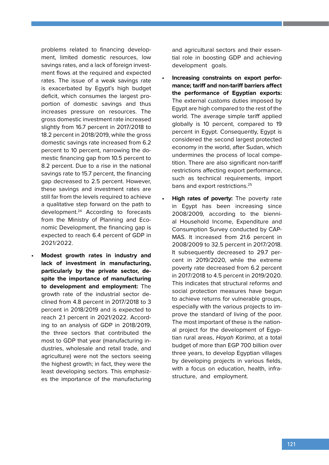problems related to financing development, limited domestic resources, low savings rates, and a lack of foreign investment flows at the required and expected rates. The issue of a weak savings rate is exacerbated by Egypt's high budget deficit, which consumes the largest proportion of domestic savings and thus increases pressure on resources. The gross domestic investment rate increased slightly from 16.7 percent in 2017/2018 to 18.2 percent in 2018/2019, while the gross domestic savings rate increased from 6.2 percent to 10 percent, narrowing the domestic financing gap from 10.5 percent to 8.2 percent. Due to a rise in the national savings rate to 15.7 percent, the financing gap decreased to 2.5 percent. However, these savings and investment rates are still far from the levels required to achieve a qualitative step forward on the path to development.24 According to forecasts from the Ministry of Planning and Economic Development, the financing gap is expected to reach 6.4 percent of GDP in 2021/2022.

**• Modest growth rates in industry and lack of investment in manufacturing, particularly by the private sector, despite the importance of manufacturing to development and employment:** The growth rate of the industrial sector declined from 4.8 percent in 2017/2018 to 3 percent in 2018/2019 and is expected to reach 2.1 percent in 2021/2022. According to an analysis of GDP in 2018/2019, the three sectors that contributed the most to GDP that year (manufacturing industries, wholesale and retail trade, and agriculture) were not the sectors seeing the highest growth; in fact, they were the least developing sectors. This emphasizes the importance of the manufacturing

and agricultural sectors and their essential role in boosting GDP and achieving development goals.

- **• Increasing constraints on export performance; tariff and non-tariff barriers affect the performance of Egyptian exports:**  The external customs duties imposed by Egypt are high compared to the rest of the world. The average simple tariff applied globally is 10 percent, compared to 19 percent in Egypt. Consequently, Egypt is considered the second largest protected economy in the world, after Sudan, which undermines the process of local competition. There are also significant non-tariff restrictions affecting export performance, such as technical requirements, import bans and export restrictions.<sup>25</sup>
- **• High rates of poverty:** The poverty rate in Egypt has been increasing since 2008/2009, according to the biennial Household Income, Expenditure and Consumption Survey conducted by CAP-MAS. It increased from 21.6 percent in 2008/2009 to 32.5 percent in 2017/2018. It subsequently decreased to 29.7 percent in 2019/2020, while the extreme poverty rate decreased from 6.2 percent in 2017/2018 to 4.5 percent in 2019/2020. This indicates that structural reforms and social protection measures have begun to achieve returns for vulnerable groups, especially with the various projects to improve the standard of living of the poor. The most important of these is the national project for the development of Egyptian rural areas, Hayah Karima, at a total budget of more than EGP 700 billion over three years, to develop Egyptian villages by developing projects in various fields, with a focus on education, health, infrastructure, and employment.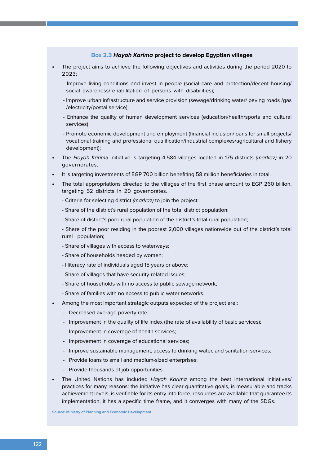#### **Box 2.3 Hayah Karima project to develop Egyptian villages**

- **•** The project aims to achieve the following objectives and activities during the period 2020 to  $2023$ 
	- Improve living conditions and invest in people (social care and protection/decent housing/ social awareness/rehabilitation of persons with disabilities);
	- Improve urban infrastructure and service provision (sewage/drinking water/ paving roads /gas /electricity/postal service);
	- Enhance the quality of human development services (education/health/sports and cultural services);
	- Promote economic development and employment (financial inclusion/loans for small projects/ vocational training and professional qualification/industrial complexes/agricultural and fishery development);
- **•** The Hayah Karima initiative is targeting 4,584 villages located in 175 districts (markaz) in 20 governorates.
- **•** It is targeting investments of EGP 700 billion benefiting 58 million beneficiaries in total.
- **•** The total appropriations directed to the villages of the first phase amount to EGP 260 billion, targeting 52 districts in 20 governorates.
	- Criteria for selecting district (markaz) to join the project:
	- Share of the district's rural population of the total district population;
	- Share of district's poor rural population of the district's total rural population;
	- Share of the poor residing in the poorest 2,000 villages nationwide out of the district's total rural population;
	- Share of villages with access to waterways;
	- Share of households headed by women;
	- Illiteracy rate of individuals aged 15 years or above;
	- Share of villages that have security-related issues;
	- Share of households with no access to public sewage network;
	- Share of families with no access to public water networks.
	- **•** Among the most important strategic outputs expected of the project are::
		- Decreased average poverty rate;
		- Improvement in the quality of life index (the rate of availability of basic services);
		- Improvement in coverage of health services;
		- Improvement in coverage of educational services;
		- Improve sustainable management, access to drinking water, and sanitation services;
		- Provide loans to small and medium-sized enterprises;
		- Provide thousands of job opportunities.
- The United Nations has included Hayah Karima among the best international initiatives/ practices for many reasons: the initiative has clear quantitative goals, is measurable and tracks achievement levels, is verifiable for its entry into force, resources are available that guarantee its implementation, it has a specific time frame, and it converges with many of the SDGs.

**Source: Ministry of Planning and Economic Development**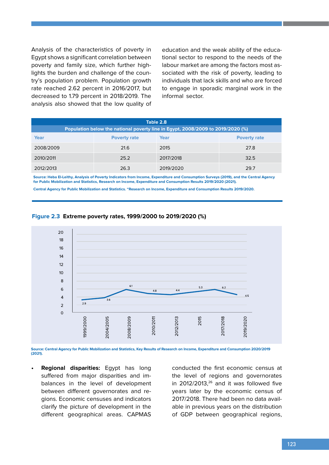Analysis of the characteristics of poverty in Egypt shows a significant correlation between poverty and family size, which further highlights the burden and challenge of the country's population problem. Population growth rate reached 2.62 percent in 2016/2017, but decreased to 1.79 percent in 2018/2019. The analysis also showed that the low quality of

education and the weak ability of the educational sector to respond to the needs of the labour market are among the factors most associated with the risk of poverty, leading to individuals that lack skills and who are forced to engage in sporadic marginal work in the informal sector.

| Table 2.8                                                                       |                     |           |                     |  |  |  |
|---------------------------------------------------------------------------------|---------------------|-----------|---------------------|--|--|--|
| Population below the national poverty line in Egypt, 2008/2009 to 2019/2020 (%) |                     |           |                     |  |  |  |
| Year                                                                            | <b>Poverty rate</b> | Year      | <b>Poverty rate</b> |  |  |  |
| 2008/2009                                                                       | 21.6                | 2015      | 27.8                |  |  |  |
| 2010/2011                                                                       | 25.2                | 2017/2018 | 32.5                |  |  |  |
| 2012/2013                                                                       | 26.3                | 2019/2020 | 29.7                |  |  |  |

**Source: Heba El-Leithy, Analysis of Poverty Indicators from Income, Expenditure and Consumption Surveys (2019), and the Central Agency for Public Mobilization and Statistics, Research on Income, Expenditure and Consumption Results 2019/2020 (2021).** 

**Central Agency for Public Mobilization and Statistics. "Research on Income, Expenditure and Consumption Results 2019/2020.**



#### **Figure 2.3 Extreme poverty rates, 1999/2000 to 2019/2020 (%)**

**Source: Central Agency for Public Mobilization and Statistics, Key Results of Research on Income, Expenditure and Consumption 2020/2019 (2021).**

**• Regional disparities:** Egypt has long suffered from major disparities and imbalances in the level of development between different governorates and regions. Economic censuses and indicators clarify the picture of development in the different geographical areas. CAPMAS

conducted the first economic census at the level of regions and governorates in  $2012/2013$ ,<sup>26</sup> and it was followed five years later by the economic census of 2017/2018. There had been no data available in previous years on the distribution of GDP between geographical regions,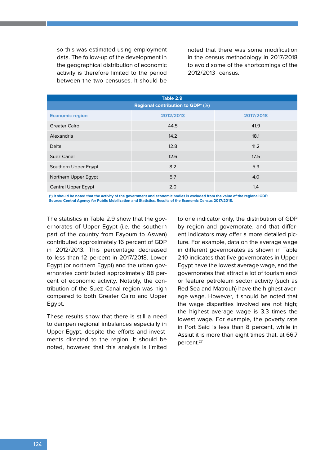so this was estimated using employment data. The follow-up of the development in the geographical distribution of economic activity is therefore limited to the period between the two censuses. It should be noted that there was some modification in the census methodology in 2017/2018 to avoid some of the shortcomings of the 2012/2013 census.

| Table 2.9                                |           |           |  |  |  |  |  |
|------------------------------------------|-----------|-----------|--|--|--|--|--|
| <b>Regional contribution to GDP* (%)</b> |           |           |  |  |  |  |  |
| <b>Economic region</b>                   | 2012/2013 | 2017/2018 |  |  |  |  |  |
| <b>Greater Cairo</b>                     | 44.5      | 41.9      |  |  |  |  |  |
| Alexandria                               | 14.2      | 18.1      |  |  |  |  |  |
| <b>Delta</b>                             | 12.8      | 11.2      |  |  |  |  |  |
| Suez Canal                               | 12.6      | 17.5      |  |  |  |  |  |
| Southern Upper Egypt                     | 8.2       | 5.9       |  |  |  |  |  |
| Northern Upper Egypt                     | 5.7       | 4.0       |  |  |  |  |  |
| <b>Central Upper Egypt</b>               | 2.0       | 1.4       |  |  |  |  |  |

**(\*) It should be noted that the activity of the government and economic bodies is excluded from the value of the regional GDP. Source: Central Agency for Public Mobilization and Statistics, Results of the Economic Census 2017/2018.**

The statistics in Table 2.9 show that the governorates of Upper Egypt (i.e. the southern part of the country from Fayoum to Aswan) contributed approximately 16 percent of GDP in 2012/2013. This percentage decreased to less than 12 percent in 2017/2018. Lower Egypt (or northern Egypt) and the urban governorates contributed approximately 88 percent of economic activity. Notably, the contribution of the Suez Canal region was high compared to both Greater Cairo and Upper Egypt.

These results show that there is still a need to dampen regional imbalances especially in Upper Egypt, despite the efforts and investments directed to the region. It should be noted, however, that this analysis is limited to one indicator only, the distribution of GDP by region and governorate, and that different indicators may offer a more detailed picture. For example, data on the average wage in different governorates as shown in Table 2.10 indicates that five governorates in Upper Egypt have the lowest average wage, and the governorates that attract a lot of tourism and/ or feature petroleum sector activity (such as Red Sea and Matrouh) have the highest average wage. However, it should be noted that the wage disparities involved are not high; the highest average wage is 3.3 times the lowest wage. For example, the poverty rate in Port Said is less than 8 percent, while in Assiut it is more than eight times that, at 66.7 percent.27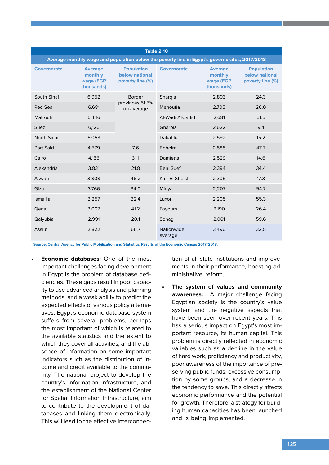| <b>Table 2.10</b>                                                                             |                                                      |                                                         |                       |                                                      |                                                         |  |
|-----------------------------------------------------------------------------------------------|------------------------------------------------------|---------------------------------------------------------|-----------------------|------------------------------------------------------|---------------------------------------------------------|--|
| Average monthly wage and population below the poverty line in Egypt's governorates, 2017/2018 |                                                      |                                                         |                       |                                                      |                                                         |  |
| <b>Governorate</b>                                                                            | <b>Average</b><br>monthly<br>wage (EGP<br>thousands) | <b>Population</b><br>below national<br>poverty line (%) | Governorate           | <b>Average</b><br>monthly<br>wage (EGP<br>thousands) | <b>Population</b><br>below national<br>poverty line (%) |  |
| South Sinai                                                                                   | 6,952                                                | <b>Border</b>                                           | Shargia               | 2,803                                                | 24.3                                                    |  |
| <b>Red Sea</b>                                                                                | 6,681                                                | provinces 51.5%<br>on average                           | Menoufia              | 2,705                                                | 26.0                                                    |  |
| Matrouh                                                                                       | 6,446                                                |                                                         | Al-Wadi Al-Jadid      | 2,681                                                | 51.5                                                    |  |
| Suez                                                                                          | 6,126                                                |                                                         | Gharbia               | 2,622                                                | 9.4                                                     |  |
| North Sinai                                                                                   | 6,053                                                |                                                         | Dakahlia              | 2,592                                                | 15.2                                                    |  |
| Port Said                                                                                     | 4,579                                                | 7.6                                                     | <b>Beheira</b>        | 2,585                                                | 47.7                                                    |  |
| Cairo                                                                                         | 4,156                                                | 31.1                                                    | Damietta              | 2,529                                                | 14.6                                                    |  |
| Alexandria                                                                                    | 3,831                                                | 21.8                                                    | <b>Beni Suef</b>      | 2,394                                                | 34.4                                                    |  |
| Aswan                                                                                         | 3,808                                                | 46.2                                                    | Kafr El-Sheikh        | 2,305                                                | 17.3                                                    |  |
| Giza                                                                                          | 3,766                                                | 34.0                                                    | Minya                 | 2,207                                                | 54.7                                                    |  |
| <b>Ismailia</b>                                                                               | 3,257                                                | 32.4                                                    | Luxor                 | 2,205                                                | 55.3                                                    |  |
| Qena                                                                                          | 3,007                                                | 41.2                                                    | Fayoum                | 2,190                                                | 26.4                                                    |  |
| Qalyubia                                                                                      | 2,991                                                | 20.1                                                    | Sohag                 | 2,061                                                | 59.6                                                    |  |
| Assiut                                                                                        | 2,822                                                | 66.7                                                    | Nationwide<br>average | 3,496                                                | 32.5                                                    |  |

**Source: Central Agency for Public Mobilization and Statistics, Results of the Economic Census 2017/ 2018.**

**• Economic databases:** One of the most important challenges facing development in Egypt is the problem of database deficiencies. These gaps result in poor capacity to use advanced analysis and planning methods, and a weak ability to predict the expected effects of various policy alternatives. Egypt's economic database system suffers from several problems, perhaps the most important of which is related to the available statistics and the extent to which they cover all activities, and the absence of information on some important indicators such as the distribution of income and credit available to the community. The national project to develop the country's information infrastructure, and the establishment of the National Center for Spatial Information Infrastructure, aim to contribute to the development of databases and linking them electronically. This will lead to the effective interconnection of all state institutions and improvements in their performance, boosting administrative reform.

**• The system of values and community awareness:** A major challenge facing Egyptian society is the country's value system and the negative aspects that have been seen over recent years. This has a serious impact on Egypt's most important resource, its human capital. This problem is directly reflected in economic variables such as a decline in the value of hard work, proficiency and productivity, poor awareness of the importance of preserving public funds, excessive consumption by some groups, and a decrease in the tendency to save. This directly affects economic performance and the potential for growth. Therefore, a strategy for building human capacities has been launched and is being implemented.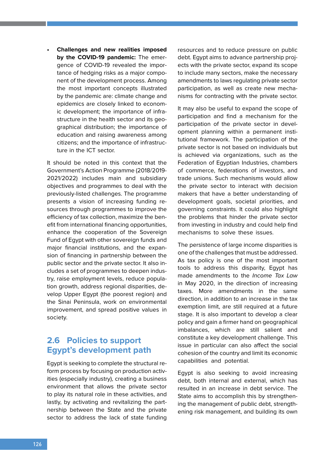**• Challenges and new realities imposed by the COVID-19 pandemic:** The emergence of COVID-19 revealed the importance of hedging risks as a major component of the development process. Among the most important concepts illustrated by the pandemic are: climate change and epidemics are closely linked to economic development; the importance of infrastructure in the health sector and its geographical distribution; the importance of education and raising awareness among citizens; and the importance of infrastructure in the ICT sector.

It should be noted in this context that the Government's Action Programme (2018/2019- 2021/2022) includes main and subsidiary objectives and programmes to deal with the previously-listed challenges. The programme presents a vision of increasing funding resources through programmes to improve the efficiency of tax collection, maximize the benefit from international financing opportunities, enhance the cooperation of the Sovereign Fund of Egypt with other sovereign funds and major financial institutions, and the expansion of financing in partnership between the public sector and the private sector. It also includes a set of programmes to deepen industry, raise employment levels, reduce population growth, address regional disparities, develop Upper Egypt (the poorest region) and the Sinai Peninsula, work on environmental improvement, and spread positive values in society.

# **2.6 Policies to support Egypt's development path**

Egypt is seeking to complete the structural reform process by focusing on production activities (especially industry), creating a business environment that allows the private sector to play its natural role in these activities, and lastly, by activating and revitalizing the partnership between the State and the private sector to address the lack of state funding resources and to reduce pressure on public debt. Egypt aims to advance partnership projects with the private sector, expand its scope to include many sectors, make the necessary amendments to laws regulating private sector participation, as well as create new mechanisms for contracting with the private sector.

It may also be useful to expand the scope of participation and find a mechanism for the participation of the private sector in development planning within a permanent institutional framework. The participation of the private sector is not based on individuals but is achieved via organizations, such as the Federation of Egyptian Industries, chambers of commerce, federations of investors, and trade unions. Such mechanisms would allow the private sector to interact with decision makers that have a better understanding of development goals, societal priorities, and governing constraints. It could also highlight the problems that hinder the private sector from investing in industry and could help find mechanisms to solve these issues.

The persistence of large income disparities is one of the challenges that must be addressed. As tax policy is one of the most important tools to address this disparity, Egypt has made amendments to the Income Tax Law in May 2020, in the direction of increasing taxes. More amendments in the same direction, in addition to an increase in the tax exemption limit, are still required at a future stage. It is also important to develop a clear policy and gain a firmer hand on geographical imbalances, which are still salient and constitute a key development challenge. This issue in particular can also affect the social cohesion of the country and limit its economic capabilities and potential.

Egypt is also seeking to avoid increasing debt, both internal and external, which has resulted in an increase in debt service. The State aims to accomplish this by strengthening the management of public debt, strengthening risk management, and building its own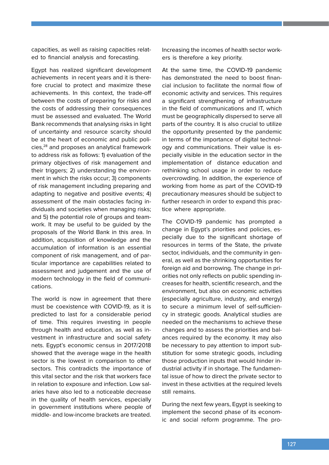capacities, as well as raising capacities related to financial analysis and forecasting.

Egypt has realized significant development achievements in recent years and it is therefore crucial to protect and maximize these achievements. In this context, the trade-off between the costs of preparing for risks and the costs of addressing their consequences must be assessed and evaluated. The World Bank recommends that analysing risks in light of uncertainty and resource scarcity should be at the heart of economic and public policies,28 and proposes an analytical framework to address risk as follows: 1) evaluation of the primary objectives of risk management and their triggers; 2) understanding the environment in which the risks occur; 3) components of risk management including preparing and adapting to negative and positive events; 4) assessment of the main obstacles facing individuals and societies when managing risks; and 5) the potential role of groups and teamwork. It may be useful to be guided by the proposals of the World Bank in this area. In addition, acquisition of knowledge and the accumulation of information is an essential component of risk management, and of particular importance are capabilities related to assessment and judgement and the use of modern technology in the field of communications.

The world is now in agreement that there must be coexistence with COVID-19, as it is predicted to last for a considerable period of time. This requires investing in people through health and education, as well as investment in infrastructure and social safety nets. Egypt's economic census in 2017/2018 showed that the average wage in the health sector is the lowest in comparison to other sectors. This contradicts the importance of this vital sector and the risk that workers face in relation to exposure and infection. Low salaries have also led to a noticeable decrease in the quality of health services, especially in government institutions where people of middle- and low-income brackets are treated.

Increasing the incomes of health sector workers is therefore a key priority.

At the same time, the COVID-19 pandemic has demonstrated the need to boost financial inclusion to facilitate the normal flow of economic activity and services. This requires a significant strengthening of infrastructure in the field of communications and IT, which must be geographically dispersed to serve all parts of the country. It is also crucial to utilize the opportunity presented by the pandemic in terms of the importance of digital technology and communications. Their value is especially visible in the education sector in the implementation of distance education and rethinking school usage in order to reduce overcrowding. In addition, the experience of working from home as part of the COVID-19 precautionary measures should be subject to further research in order to expand this practice where appropriate.

The COVID-19 pandemic has prompted a change in Egypt's priorities and policies, especially due to the significant shortage of resources in terms of the State, the private sector, individuals, and the community in general, as well as the shrinking opportunities for foreign aid and borrowing. The change in priorities not only reflects on public spending increases for health, scientific research, and the environment, but also on economic activities (especially agriculture, industry, and energy) to secure a minimum level of self-sufficiency in strategic goods. Analytical studies are needed on the mechanisms to achieve these changes and to assess the priorities and balances required by the economy. It may also be necessary to pay attention to import substitution for some strategic goods, including those production inputs that would hinder industrial activity if in shortage. The fundamental issue of how to direct the private sector to invest in these activities at the required levels still remains.

During the next few years, Egypt is seeking to implement the second phase of its economic and social reform programme. The pro-